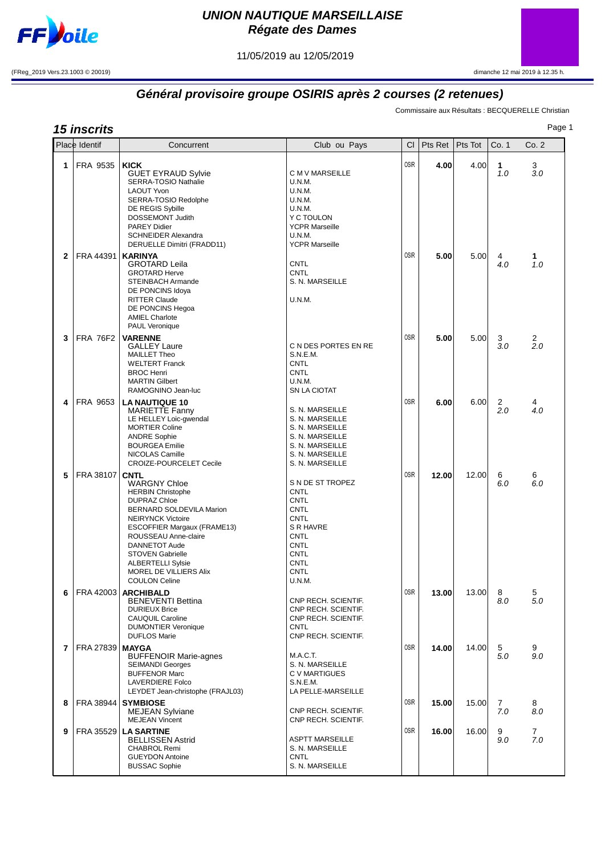

## **UNION NAUTIQUE MARSEILLAISE Régate des Dames**

11/05/2019 au 12/05/2019

(FReg\_2019 Vers.23.1003 © 20019) dimanche 12 mai 2019 à 12.35 h.



## **Général provisoire groupe OSIRIS après 2 courses (2 retenues)**

Commissaire aux Résultats : BECQUERELLE Christian

Page 1

| Pag<br><b>15 inscrits</b> |                 |                                                                                                                                                                                                                                                                                                                                |                                                                                                                                                                         |             |         |         |                       |                       |
|---------------------------|-----------------|--------------------------------------------------------------------------------------------------------------------------------------------------------------------------------------------------------------------------------------------------------------------------------------------------------------------------------|-------------------------------------------------------------------------------------------------------------------------------------------------------------------------|-------------|---------|---------|-----------------------|-----------------------|
|                           | Place Identif   | Concurrent                                                                                                                                                                                                                                                                                                                     | Club ou Pays                                                                                                                                                            | <b>CI</b>   | Pts Ret | Pts Tot | Co. 1                 | Co. 2                 |
| 1                         | FRA 9535        | <b>KICK</b><br><b>GUET EYRAUD Sylvie</b><br>SERRA-TOSIO Nathalie<br><b>LAOUT Yvon</b><br>SERRA-TOSIO Redolphe<br>DE REGIS Sybille<br>DOSSEMONT Judith<br><b>PAREY Didier</b><br><b>SCHNEIDER Alexandra</b><br>DERUELLE Dimitri (FRADD11)                                                                                       | C M V MARSEILLE<br>U.N.M.<br>U.N.M.<br>U.N.M.<br>U.N.M.<br>Y C TOULON<br><b>YCPR Marseille</b><br><b>U.N.M.</b><br><b>YCPR Marseille</b>                                | <b>OSIR</b> | 4.00    | 4.00    | 1<br>1.0              | 3<br>3.0              |
| $\mathbf{2}$              | FRA 44391       | <b>KARINYA</b><br><b>GROTARD Leila</b><br><b>GROTARD Herve</b><br>STEINBACH Armande<br>DE PONCINS Idoya<br><b>RITTER Claude</b><br>DE PONCINS Hegoa<br><b>AMIEL Charlote</b><br>PAUL Veronique                                                                                                                                 | <b>CNTL</b><br><b>CNTL</b><br>S. N. MARSEILLE<br>U.N.M.                                                                                                                 | <b>OSIR</b> | 5.00    | 5.00    | 4<br>4.0              | 1<br>1.0              |
| 3                         | <b>FRA 76F2</b> | <b>VARENNE</b><br><b>GALLEY Laure</b><br><b>MAILLET Theo</b><br><b>WELTERT Franck</b><br><b>BROC Henri</b><br><b>MARTIN Gilbert</b><br>RAMOGNINO Jean-luc                                                                                                                                                                      | C N DES PORTES EN RE<br>S.N.E.M.<br><b>CNTL</b><br><b>CNTL</b><br>U.N.M.<br>SN LA CIOTAT                                                                                | <b>OSIR</b> | 5.00    | 5.00    | 3<br>3.0              | 2<br>2.0              |
| 4                         | FRA 9653        | <b>LA NAUTIQUE 10</b><br><b>MARIETTE Fanny</b><br>LE HELLEY Loic-gwendal<br><b>MORTIER Coline</b><br><b>ANDRE Sophie</b><br><b>BOURGEA Emilie</b><br>NICOLAS Camille<br>CROIZE-POURCELET Cecile                                                                                                                                | S. N. MARSEILLE<br>S. N. MARSEILLE<br>S. N. MARSEILLE<br>S. N. MARSEILLE<br>S. N. MARSEILLE<br>S. N. MARSEILLE<br>S. N. MARSEILLE                                       | <b>OSIR</b> | 6.00    | 6.00    | $\overline{2}$<br>2.0 | 4<br>4.0              |
| 5                         | FRA 38107       | <b>CNTL</b><br><b>WARGNY Chloe</b><br><b>HERBIN Christophe</b><br><b>DUPRAZ Chloe</b><br>BERNARD SOLDEVILA Marion<br><b>NEIRYNCK Victoire</b><br>ESCOFFIER Margaux (FRAME13)<br>ROUSSEAU Anne-claire<br>DANNETOT Aude<br><b>STOVEN Gabrielle</b><br><b>ALBERTELLI Sylsie</b><br>MOREL DE VILLIERS Alix<br><b>COULON Celine</b> | S N DE ST TROPEZ<br><b>CNTL</b><br><b>CNTL</b><br><b>CNTL</b><br><b>CNTL</b><br>S R HAVRE<br><b>CNTL</b><br><b>CNTL</b><br><b>CNTL</b><br><b>CNTL</b><br>CNTL<br>U.N.M. | <b>OSIR</b> | 12.00   | 12.00   | 6<br>6.0              | 6<br>6.0              |
| 6                         | FRA 42003       | <b>ARCHIBALD</b><br><b>BENEVENTI Bettina</b><br><b>DURIEUX Brice</b><br><b>CAUQUIL Caroline</b><br><b>DUMONTIER Veronique</b><br><b>DUFLOS Marie</b>                                                                                                                                                                           | CNP RECH. SCIENTIF.<br>CNP RECH. SCIENTIF.<br>CNP RECH. SCIENTIF.<br>CNTL<br>CNP RECH. SCIENTIF.                                                                        | <b>OSIR</b> | 13.00   | 13.00   | 8<br>8.0              | 5<br>5.0              |
| 7                         | FRA 27839       | <b>MAYGA</b><br><b>BUFFENOIR Marie-agnes</b><br><b>SEIMANDI Georges</b><br><b>BUFFENOR Marc</b><br><b>LAVERDIERE Folco</b><br>LEYDET Jean-christophe (FRAJL03)                                                                                                                                                                 | M.A.C.T.<br>S. N. MARSEILLE<br>C V MARTIGUES<br>S.N.E.M.<br>LA PELLE-MARSEILLE                                                                                          | <b>OSIR</b> | 14.00   | 14.00   | 5<br>5.0              | 9<br>9.0              |
| 8                         | FRA 38944       | <b>SYMBIOSE</b><br><b>MEJEAN Sylviane</b><br><b>MEJEAN Vincent</b>                                                                                                                                                                                                                                                             | CNP RECH. SCIENTIF.<br>CNP RECH. SCIENTIF.                                                                                                                              | <b>OSIR</b> | 15.00   | 15.00   | 7<br>7.0              | 8<br>8.0              |
| 9                         | FRA 35529       | <b>LA SARTINE</b><br><b>BELLISSEN Astrid</b><br><b>CHABROL Remi</b><br><b>GUEYDON Antoine</b><br><b>BUSSAC Sophie</b>                                                                                                                                                                                                          | <b>ASPTT MARSEILLE</b><br>S. N. MARSEILLE<br><b>CNTL</b><br>S. N. MARSEILLE                                                                                             | <b>OSIR</b> | 16.00   | 16.00   | 9<br>9.0              | $\overline{7}$<br>7.0 |